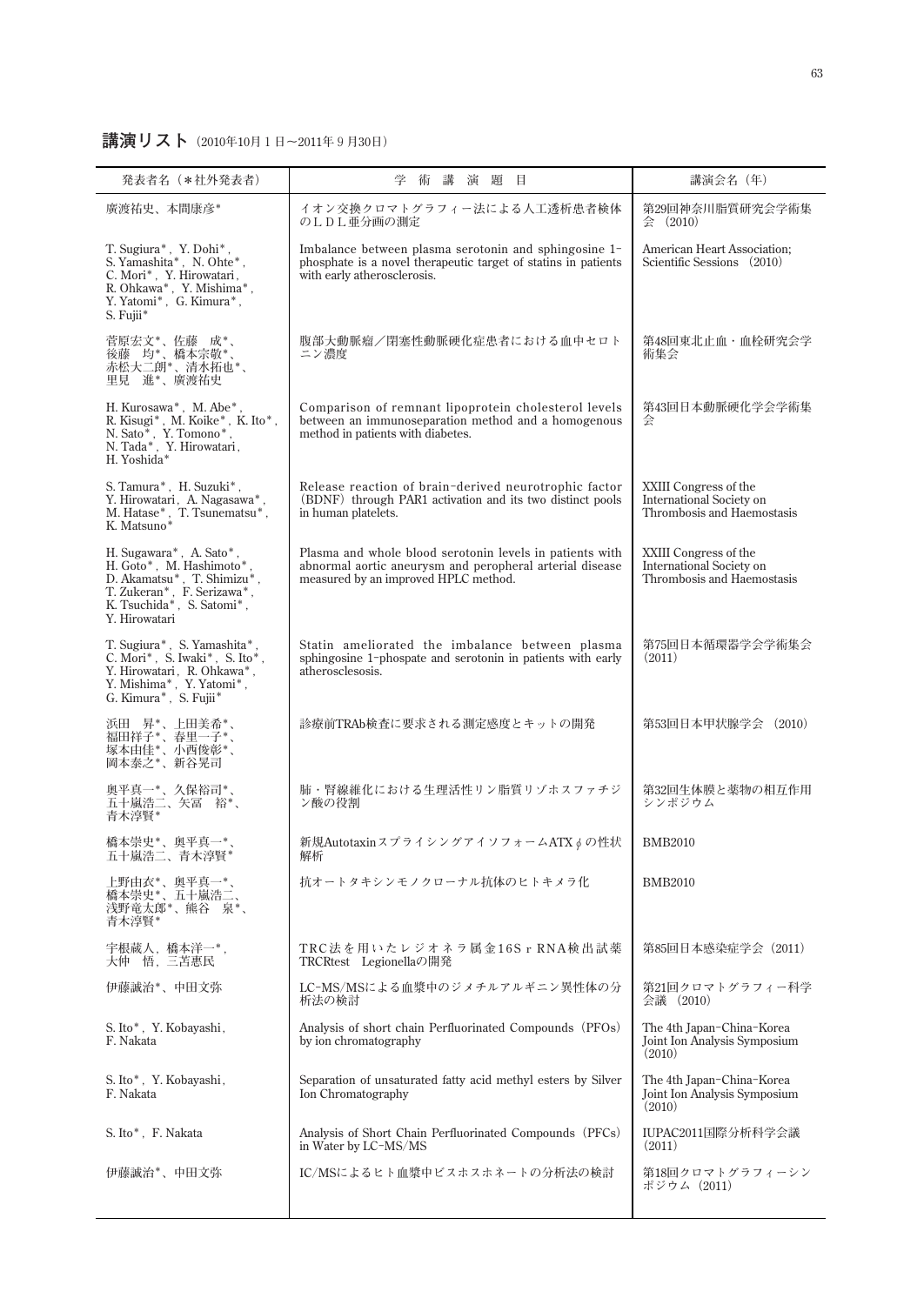## **講演リスト(2010年10月1日~2011年9月30日)**

| 発表者名 (*社外発表者)                                                                                                                                                                                 | 術<br>講<br>演題目<br>学                                                                                                                                           | 講演会名 (年)                                                                        |
|-----------------------------------------------------------------------------------------------------------------------------------------------------------------------------------------------|--------------------------------------------------------------------------------------------------------------------------------------------------------------|---------------------------------------------------------------------------------|
| 廣渡祐史、本間康彦*                                                                                                                                                                                    | イオン交換クロマトグラフィー法による人工透析患者検体<br>のLDL亜分画の測定                                                                                                                     | 第29回神奈川脂質研究会学術集<br>会 (2010)                                                     |
| T. Sugiura*, Y. Dohi*,<br>S. Yamashita*, N. Ohte*,<br>C. Mori*, Y. Hirowatari,<br>${\rm R.\,Ohkawa^*}$ , ${\rm Y.\,Mishima^*}$ ,<br>Y. Yatomi*, G. Kimura*,<br>S. Fujii*                      | Imbalance between plasma serotonin and sphingosine 1-<br>phosphate is a novel therapeutic target of statins in patients<br>with early atherosclerosis.       | American Heart Association;<br>Scientific Sessions (2010)                       |
| 菅原宏文*、佐藤 成*、<br>旨 <i>。</i><br>後藤 均*、橋本宗敬*、<br>赤松大二朗*、清水拓也*、<br>里見 進*、廣渡祐史                                                                                                                     | 腹部大動脈瘤/閉塞性動脈硬化症患者における血中セロト<br>ニン濃度                                                                                                                           | 第48回東北止血·血栓研究会学<br>術集会                                                          |
| H. Kurosawa*, M. Abe*,<br>R. Kisugi*, M. Koike*, K. Ito*,<br>$\begin{array}{ll} \text{N. Sato*}, & \text{Y. Tomono*}, \\ \text{N. Tada*}, & \text{Y. Hirowatari}, \end{array}$<br>H. Yoshida* | Comparison of remnant lipoprotein cholesterol levels<br>between an immunoseparation method and a homogenous<br>method in patients with diabetes.             | 第43回日本動脈硬化学会学術集<br>슻                                                            |
| S. Tamura*, H. Suzuki*,<br>Y. Hirowatari, A. Nagasawa*,<br>M. Hatase*, T. Tsunematsu*,<br>K. Matsuno*                                                                                         | Release reaction of brain-derived neurotrophic factor<br>(BDNF) through PAR1 activation and its two distinct pools<br>in human platelets.                    | XXIII Congress of the<br>International Society on<br>Thrombosis and Haemostasis |
| H. Sugawara*, A. Sato*,<br>H. Goto*, M. Hashimoto*<br>D. Akamatsu*, T. Shimizu*,<br>T. Zukeran*, F. Serizawa*,<br>K. Tsuchida*, S. Satomi*,<br>Y. Hirowatari                                  | Plasma and whole blood serotonin levels in patients with<br>abnormal aortic aneurysm and peropheral arterial disease<br>measured by an improved HPLC method. | XXIII Congress of the<br>International Society on<br>Thrombosis and Haemostasis |
| T. Sugiura*, S. Yamashita*,<br>C. Mori*, S. Iwaki*, S. Ito*,<br>Y. Hirowatari, R. Ohkawa*,<br>Y. Mishima*, Y. Yatomi*,<br>G. Kimura*, S. Fujii*                                               | Statin ameliorated the imbalance between plasma<br>sphingosine 1-phospate and serotonin in patients with early<br>atherosclesosis.                           | 第75回日本循環器学会学術集会<br>(2011)                                                       |
| 浜田 昇*、上田美希*、<br>福田祥子*、春里一子*、<br>塚本由佳*、小西俊彰*、<br>岡本泰之*、新谷晃司                                                                                                                                    | 診療前TRAb検査に要求される測定感度とキットの開発                                                                                                                                   | 第53回日本甲状腺学会 (2010)                                                              |
| 奥平真一*、久保裕司*、<br>五十嵐浩二、矢冨 裕*、<br>青木淳賢*                                                                                                                                                         | 肺・腎線維化における生理活性リン脂質リゾホスファチジ<br>ン酸の役割                                                                                                                          | 第32回生体膜と薬物の相互作用<br>シンポジウム                                                       |
| 橋本崇史*、奥平真一*。<br>五十嵐浩二、青木淳賢*                                                                                                                                                                   | 新規AutotaxinスプライシングアイソフォームATXφの性状<br>解析                                                                                                                       | <b>BMB2010</b>                                                                  |
| 上野由衣*、奥平真一*、<br>橋本崇史*、五十嵐浩二、<br>浅野竜太郎*、熊谷 泉*、<br>青木淳賢*                                                                                                                                        | 抗オートタキシンモノクローナル抗体のヒトキメラ化                                                                                                                                     | <b>BMB2010</b>                                                                  |
| 宇根蔵人, 橋本洋一*,<br>大仲 悟,三苫惠民                                                                                                                                                                     | TRC法を用いたレジオネラ属金16SrRNA検出試薬<br>TRCRtest Legionellaの開発                                                                                                         | 第85回日本感染症学会 (2011)                                                              |
| 伊藤誠治*、中田文弥                                                                                                                                                                                    | LC-MS/MSによる血漿中のジメチルアルギニン異性体の分<br>析法の検討                                                                                                                       | 第21回クロマトグラフィー科学<br>会議 (2010)                                                    |
| S. Ito*, Y. Kobayashi,<br>F. Nakata                                                                                                                                                           | Analysis of short chain Perfluorinated Compounds (PFOs)<br>by ion chromatography                                                                             | The 4th Japan-China-Korea<br>Joint Ion Analysis Symposium<br>(2010)             |
| S. Ito*, Y. Kobayashi,<br>F. Nakata                                                                                                                                                           | Separation of unsaturated fatty acid methyl esters by Silver<br>Ion Chromatography                                                                           | The 4th Japan-China-Korea<br>Joint Ion Analysis Symposium<br>(2010)             |
| S. Ito*, F. Nakata                                                                                                                                                                            | Analysis of Short Chain Perfluorinated Compounds (PFCs)<br>in Water by LC-MS/MS                                                                              | IUPAC2011国際分析科学会議<br>(2011)                                                     |
| 伊藤誠治*、中田文弥                                                                                                                                                                                    | IC/MSによるヒト血漿中ビスホスホネートの分析法の検討                                                                                                                                 | 第18回クロマトグラフィーシン<br>ポジウム(2011)                                                   |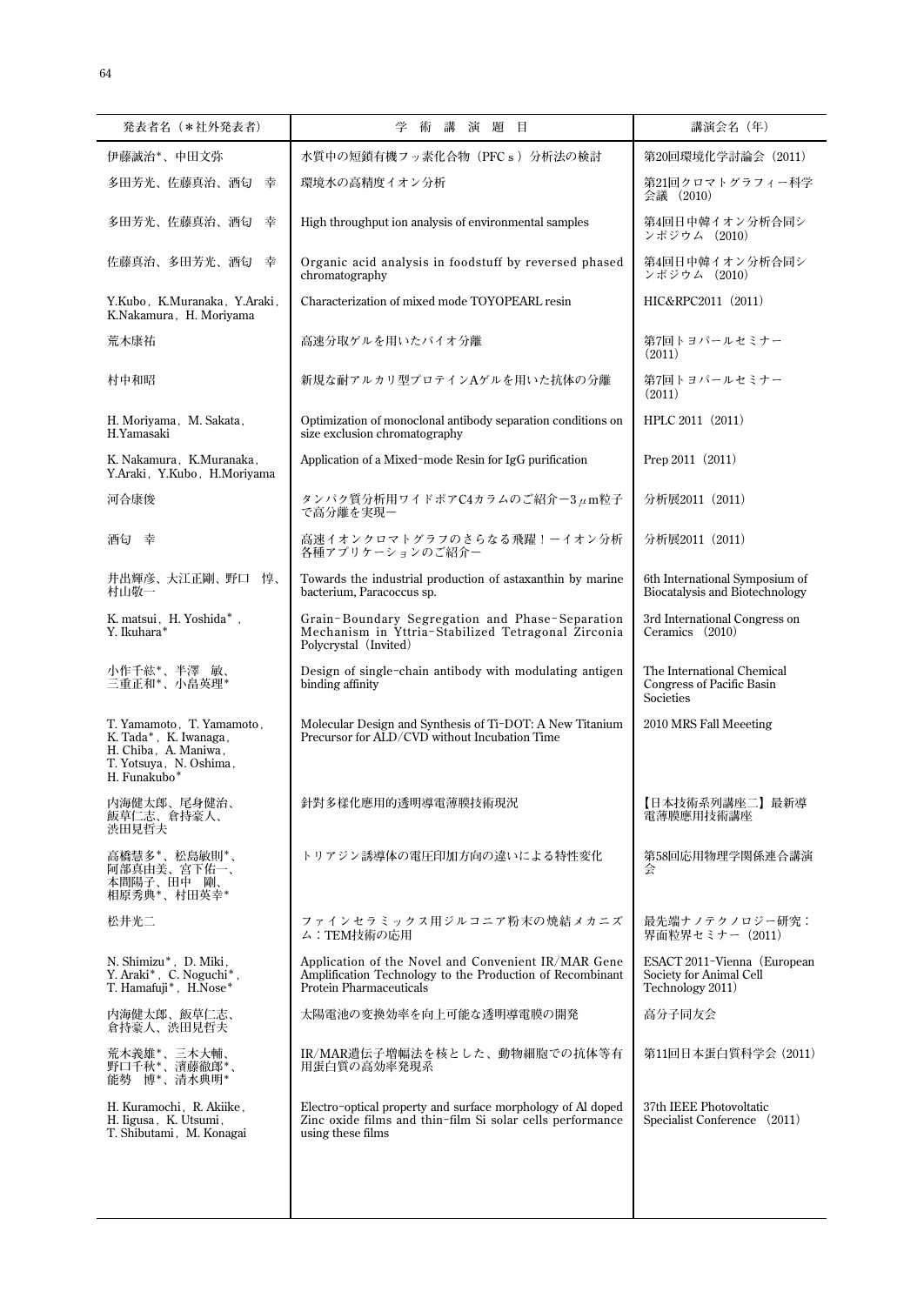| 発表者名 (*社外発表者)                                                                                                        | 学<br>講<br>演<br>題<br>目<br>術                                                                                                                         | 講演会名 (年)                                                                   |
|----------------------------------------------------------------------------------------------------------------------|----------------------------------------------------------------------------------------------------------------------------------------------------|----------------------------------------------------------------------------|
| 伊藤誠治*、中田文弥                                                                                                           | 水質中の短鎖有機フッ素化合物 (PFCs) 分析法の検討                                                                                                                       | 第20回環境化学討論会 (2011)                                                         |
| 多田芳光、佐藤真治、酒匂<br>幸                                                                                                    | 環境水の高精度イオン分析                                                                                                                                       | 第21回クロマトグラフィー科学<br>会議 (2010)                                               |
| 多田芳光、佐藤真治、酒匂<br>幸                                                                                                    | High throughput ion analysis of environmental samples                                                                                              | 第4回日中韓イオン分析合同シ<br>ンポジウム (2010)                                             |
| 佐藤真治、多田芳光、酒匂<br>幸                                                                                                    | Organic acid analysis in foodstuff by reversed phased<br>chromatography                                                                            | 第4回日中韓イオン分析合同シ<br>ンポジウム (2010)                                             |
| Y.Kubo, K.Muranaka, Y.Araki,<br>K.Nakamura, H. Moriyama                                                              | Characterization of mixed mode TOYOPEARL resin                                                                                                     | HIC&RPC2011 (2011)                                                         |
| 荒木康祐                                                                                                                 | 高速分取ゲルを用いたバイオ分離                                                                                                                                    | 第7回トヨパールセミナー<br>(2011)                                                     |
| 村中和昭                                                                                                                 | 新規な耐アルカリ型プロテインAゲルを用いた抗体の分離                                                                                                                         | 第7回トヨパールセミナー<br>(2011)                                                     |
| H. Moriyama, M. Sakata,<br>H.Yamasaki                                                                                | Optimization of monoclonal antibody separation conditions on<br>size exclusion chromatography                                                      | HPLC 2011 (2011)                                                           |
| K. Nakamura, K.Muranaka,<br>Y.Araki, Y.Kubo, H.Moriyama                                                              | Application of a Mixed-mode Resin for IgG purification                                                                                             | Prep 2011 (2011)                                                           |
| 河合康俊                                                                                                                 | タンパク質分析用ワイドポアC4カラムのご紹介-3μm粒子<br>で高分離を実現ー                                                                                                           | 分析展2011 (2011)                                                             |
| 酒匂 幸                                                                                                                 | 高速イオンクロマトグラフのさらなる飛躍!ーイオン分析<br>各種アプリケーションのご紹介ー                                                                                                      | 分析展2011 (2011)                                                             |
| 井出輝彦、大江正剛、野口 惇、<br>村山敬一                                                                                              | Towards the industrial production of astaxanthin by marine<br>bacterium, Paracoccus sp.                                                            | 6th International Symposium of<br><b>Biocatalysis and Biotechnology</b>    |
| K. matsui, H. Yoshida*,<br>Y. Ikuhara*                                                                               | Grain-Boundary Segregation and Phase-Separation<br>Mechanism in Yttria-Stabilized Tetragonal Zirconia<br>Polycrystal (Invited)                     | 3rd International Congress on<br>Ceramics (2010)                           |
| 小作千紘*、半澤 敏、<br>三重正和*、小畠英理*                                                                                           | Design of single-chain antibody with modulating antigen<br>binding affinity                                                                        | The International Chemical<br>Congress of Pacific Basin<br>Societies       |
| T. Yamamoto, T. Yamamoto,<br>K. Tada*, K. Iwanaga,<br>H. Chiba, A. Maniwa,<br>T. Yotsuya, N. Oshima,<br>H. Funakubo* | Molecular Design and Synthesis of Ti-DOT: A New Titanium<br>Precursor for ALD/CVD without Incubation Time                                          | 2010 MRS Fall Meeeting                                                     |
| 内海健太郎、尾身健治、<br>   敗早1_志、眉持家人、<br>渋田見哲夫                                                                               | 針對多樣化應用的透明導電薄膜技術現況                                                                                                                                 | 【日本技術系列講座二】最新導<br>黾漙脵應用抆術講座                                                |
| 高橋慧多*、松島敏則*、<br>阿部真由美、宮下佑一、<br>本間陽子、田中 剛、<br>相原秀典*、村田英幸*                                                             | トリアジン誘導体の電圧印加方向の違いによる特性変化                                                                                                                          | 第58回応用物理学関係連合講演<br>会                                                       |
| 松井光二                                                                                                                 | ファインセラミックス用ジルコニア粉末の焼結メカニズ<br>ム:TEM技術の応用                                                                                                            | 最先端ナノテクノロジー研究:<br>界面粒界セミナー (2011)                                          |
| N. Shimizu*, D. Miki,<br>Y. Araki*, C. Noguchi*,<br>T. Hamafuji*, H.Nose*                                            | Application of the Novel and Convenient IR/MAR Gene<br>Amplification Technology to the Production of Recombinant<br><b>Protein Pharmaceuticals</b> | ESACT 2011-Vienna (European<br>Society for Animal Cell<br>Technology 2011) |
| 内海健太郎、飯草仁志、<br>倉持豪人、渋田見哲夫                                                                                            | 太陽電池の変換効率を向上可能な透明導電膜の開発                                                                                                                            | 高分子同友会                                                                     |
| 荒木義雄*、三木大輔、<br>野口千秋*、濱藤徹郎*、<br>能勢 博*、清水典明*                                                                           | IR/MAR遺伝子増幅法を核とした、動物細胞での抗体等有<br>用蛋白質の高効率発現系                                                                                                        | 第11回日本蛋白質科学会 (2011)                                                        |
| H. Kuramochi, R. Akiike,<br>H. ligusa, K. Utsumi,<br>T. Shibutami, M. Konagai                                        | Electro-optical property and surface morphology of Al doped<br>Zinc oxide films and thin-film Si solar cells performance<br>using these films      | 37th IEEE Photovoltatic<br>Specialist Conference (2011)                    |
|                                                                                                                      |                                                                                                                                                    |                                                                            |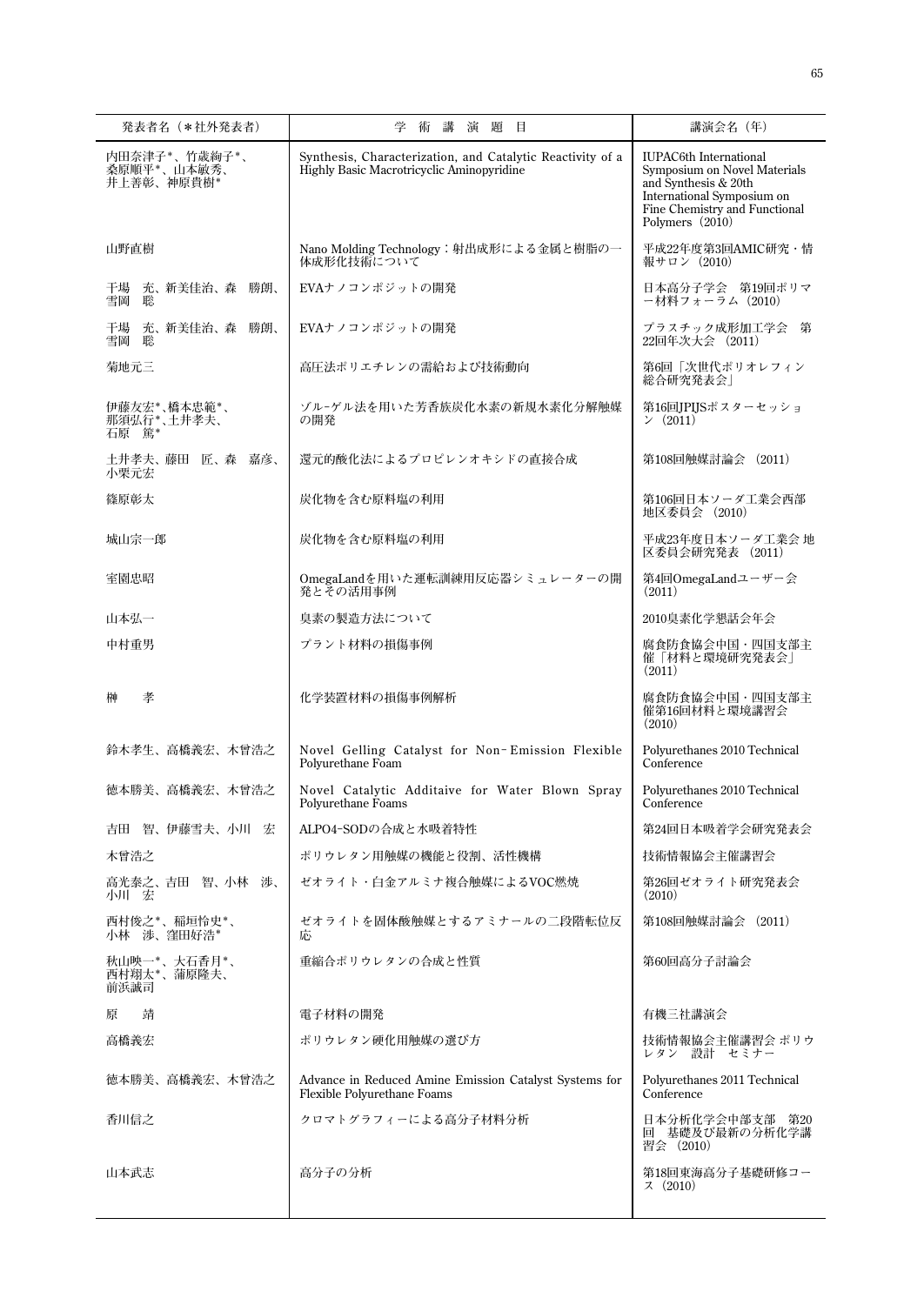| 発表者名(*社外発表者)                               | 学<br>術 講<br>演題目                                                                                         | 講演会名 (年)                                                                                                                                                                |
|--------------------------------------------|---------------------------------------------------------------------------------------------------------|-------------------------------------------------------------------------------------------------------------------------------------------------------------------------|
| 内田奈津子*、竹歳絢子*、<br>桑原順平*、山本敏秀、<br>井上善彰、神原貴樹* | Synthesis, Characterization, and Catalytic Reactivity of a<br>Highly Basic Macrotricyclic Aminopyridine | <b>IUPAC6th International</b><br>Symposium on Novel Materials<br>and Synthesis & 20th<br>International Symposium on<br>Fine Chemistry and Functional<br>Polymers (2010) |
| 山野直樹                                       | Nano Molding Technology:射出成形による金属と樹脂の一<br>体成形化技術について                                                    | 平成22年度第3回AMIC研究・情<br>報サロン (2010)                                                                                                                                        |
| 干場<br>充、新美佳治、森 勝朗、<br>雪岡<br>聡              | EVAナノコンポジットの開発                                                                                          | 日本高分子学会 第19回ポリマ<br>ー材料フォーラム (2010)                                                                                                                                      |
| 充、新美佳治、森 勝朗、<br>干場<br>雪岡<br>聡              | EVAナノコンポジットの開発                                                                                          | プラスチック成形加工学会<br>第<br>22回年次大会 (2011)                                                                                                                                     |
| 菊地元三                                       | 高圧法ポリエチレンの需給および技術動向                                                                                     | 第6回「次世代ポリオレフィン<br>総合研究発表会                                                                                                                                               |
| 伊藤友宏*、橋本忠範*、<br>那須弘行*、土井孝夫、<br>石原 篤*       | ゾル-ゲル法を用いた芳香族炭化水素の新規水素化分解触媒<br>の開発                                                                      | 第16回JPIJSポスターセッショ<br>2011                                                                                                                                               |
| 土井孝夫、藤田 匠、森 嘉彦、<br>小栗元宏                    | 還元的酸化法によるプロピレンオキシドの直接合成                                                                                 | 第108回触媒討論会 (2011)                                                                                                                                                       |
| 篠原彰太                                       | 炭化物を含む原料塩の利用                                                                                            | 第106回日本ソーダ工業会西部<br>地区委員会 (2010)                                                                                                                                         |
| 城山宗一郎                                      | 炭化物を含む原料塩の利用                                                                                            | 平成23年度日本ソーダ工業会 地<br>区委員会研究発表 (2011)                                                                                                                                     |
| 室園忠昭                                       | OmegaLandを用いた運転訓練用反応器シミュレーターの開<br>発とその活用事例                                                              | 第4回OmegaLandユーザー会<br>(2011)                                                                                                                                             |
| 山本弘一                                       | 臭素の製造方法について                                                                                             | 2010臭素化学懇話会年会                                                                                                                                                           |
| 中村重男                                       | プラント材料の損傷事例                                                                                             | 腐食防食協会中国・四国支部主<br>催「材料と環境研究発表会 <br>(2011)                                                                                                                               |
| 孝<br>榊                                     | 化学装置材料の損傷事例解析                                                                                           | 腐食防食協会中国・四国支部主<br>催第16回材料と環境講習会<br>(2010)                                                                                                                               |
| 鈴木孝生、高橋義宏、木曾浩之                             | Novel Gelling Catalyst for Non-Emission Flexible<br>Polyurethane Foam                                   | Polyurethanes 2010 Technical<br>Conference                                                                                                                              |
| 徳本勝美、高橋義宏、木曾浩之                             | Novel Catalytic Additaive for Water Blown Spray<br>Polyurethane Foams                                   | Polyurethanes 2010 Technical<br>Conference                                                                                                                              |
| 智、伊藤雪夫、小川 宏<br>吉田                          | ALPO4-SODの合成と水吸着特性                                                                                      | 第24回日本吸着学会研究発表会                                                                                                                                                         |
| 木曾浩之                                       | ポリウレタン用触媒の機能と役割、活性機構                                                                                    | 技術情報協会主催講習会                                                                                                                                                             |
| 高光泰之、吉田 智、小林 渉、<br>小川一宏                    | ゼオライト・白金アルミナ複合触媒によるVOC燃焼                                                                                | 第26回ゼオライト研究発表会<br>(2010)                                                                                                                                                |
| 西村俊之*、稲垣怜史*、<br>小林 渉、窪田好浩*                 | ゼオライトを固体酸触媒とするアミナールの二段階転位反<br>巵                                                                         | 第108回触媒討論会 (2011)                                                                                                                                                       |
| 秋山映一*、大石香月*、<br>西村翔太*、蒲原隆夫、<br>前浜誠司        | 重縮合ポリウレタンの合成と性質                                                                                         | 第60回高分子討論会                                                                                                                                                              |
| 原<br>靖                                     | 電子材料の開発                                                                                                 | 有機三社講演会                                                                                                                                                                 |
| 高橋義宏                                       | ポリウレタン硬化用触媒の選び方                                                                                         | 技術情報協会主催講習会 ポリウ<br>レタン 設計 セミナー                                                                                                                                          |
| 徳本勝美、高橋義宏、木曾浩之                             | Advance in Reduced Amine Emission Catalyst Systems for<br>Flexible Polyurethane Foams                   | Polyurethanes 2011 Technical<br>Conference                                                                                                                              |
| 香川信之                                       | クロマトグラフィーによる高分子材料分析                                                                                     | 日本分析化学会中部支部 第20<br>回 基礎及び最新の分析化学講<br>習会 (2010)                                                                                                                          |
| 山本武志                                       | 高分子の分析                                                                                                  | 第18回東海高分子基礎研修コー<br>7(2010)                                                                                                                                              |
|                                            |                                                                                                         |                                                                                                                                                                         |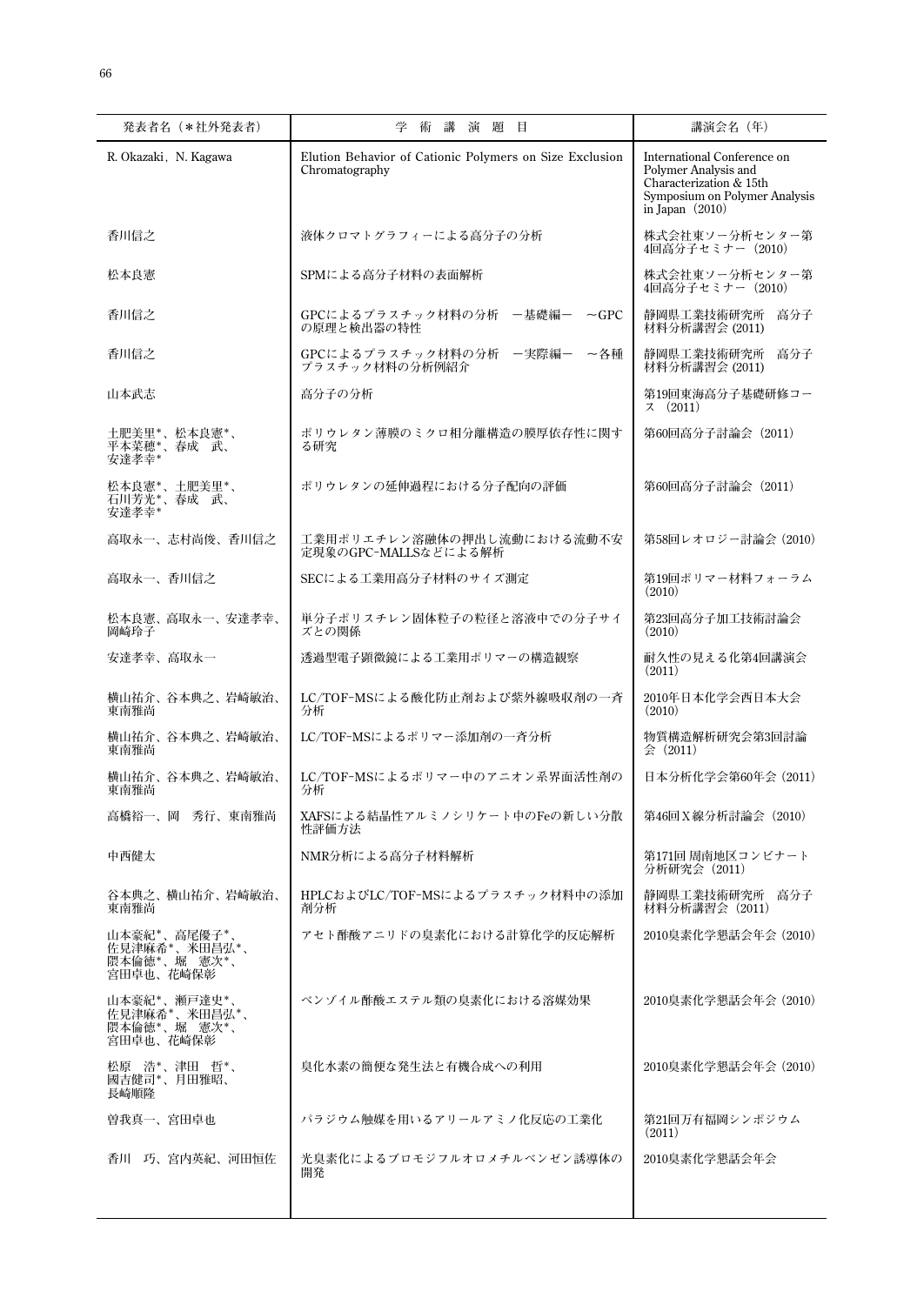| 発表者名(*社外発表者)                                               | 学<br>術<br>講<br>演 題<br>目                                                   | 講演会名(年)                                                                                                                              |
|------------------------------------------------------------|---------------------------------------------------------------------------|--------------------------------------------------------------------------------------------------------------------------------------|
| R. Okazaki, N. Kagawa                                      | Elution Behavior of Cationic Polymers on Size Exclusion<br>Chromatography | International Conference on<br>Polymer Analysis and<br>Characterization & 15th<br>Symposium on Polymer Analysis<br>in Japan $(2010)$ |
| 香川信之                                                       | 液体クロマトグラフィーによる高分子の分析                                                      | 株式会社東ソー分析センター第<br>4回高分子セミナー(2010)                                                                                                    |
| 松本良憲                                                       | SPMによる高分子材料の表面解析                                                          | 株式会社東ソー分析センター第<br>4回高分子セミナー(2010)                                                                                                    |
| 香川信之                                                       | GPCによるプラスチック材料の分析 -基礎編ー<br>$\sim$ GPC<br>の原理と検出器の特性                       | 静岡県工業技術研究所<br>高分子<br>材料分析講習会 (2011)                                                                                                  |
| 香川信之                                                       | GPCによるプラスチック材料の分析 -実際編-<br>~各種<br>プラスチック材料の分析例紹介                          | 静岡県工業技術研究所<br>高分子<br>材料分析講習会 (2011)                                                                                                  |
| 山本武志                                                       | 高分子の分析                                                                    | 第19回東海高分子基礎研修コー<br>7(2011)                                                                                                           |
| 土肥美里*、松本良憲*、<br>平本菜穂*、春成 武、<br>安達孝幸*                       | ポリウレタン薄膜のミクロ相分離構造の膜厚依存性に関す<br>る研究                                         | 第60回高分子討論会(2011)                                                                                                                     |
| 松本良憲*、土肥美里*、<br>石川芳光*、春成 武、<br>安達孝幸*                       | ポリウレタンの延伸過程における分子配向の評価                                                    | 第60回高分子討論会 (2011)                                                                                                                    |
| 高取永一、志村尚俊、香川信之                                             | 工業用ポリエチレン溶融体の押出し流動における流動不安<br>定現象のGPC-MALLSなどによる解析                        | 第58回レオロジー討論会 (2010)                                                                                                                  |
| 高取永一、香川信之                                                  | SECによる工業用高分子材料のサイズ測定                                                      | 第19回ポリマー材料フォーラム<br>(2010)                                                                                                            |
| 松本良憲、高取永一、安達孝幸、<br>岡崎玲子                                    | 単分子ポリスチレン固体粒子の粒径と溶液中での分子サイ<br>ズとの関係                                       | 第23回高分子加工技術討論会<br>(2010)                                                                                                             |
| 安達孝幸、高取永一                                                  | 透過型電子顕微鏡による工業用ポリマーの構造観察                                                   | 耐久性の見える化第4回講演会<br>(2011)                                                                                                             |
| 横山祐介、谷本典之、岩崎敏治、<br>東南雅尚                                    | LC/TOF-MSによる酸化防止剤および紫外線吸収剤の一斉<br>分析                                       | 2010年日本化学会西日本大会<br>(2010)                                                                                                            |
| 横山祐介、谷本典之、岩崎敏治、<br>東南雅尚                                    | LC/TOF-MSによるポリマー添加剤の一斉分析                                                  | 物質構造解析研究会第3回討論<br>$\Leftrightarrow$ (2011)                                                                                           |
| 横山祐介、谷本典之、岩崎敏治、<br>東南雅尚                                    | LC/TOF-MSによるポリマー中のアニオン系界面活性剤の<br>分析                                       | 日本分析化学会第60年会(2011)                                                                                                                   |
| 高橋裕一、岡 秀行、東南雅尚                                             | XAFSによる結晶性アルミノシリケート中のFeの新しい分散<br>性評価方法                                    | 第46回X線分析討論会(2010)                                                                                                                    |
| 中西健太                                                       | NMR分析による高分子材料解析                                                           | 第171回 周南地区コンビナート<br>分析研究会 (2011)                                                                                                     |
| 谷本典之、横山祐介、岩崎敏治、<br>東南雅尚                                    | HPLCおよびLC/TOF-MSによるプラスチック材料中の添加<br>剤分析                                    | 静岡県工業技術研究所 高分子<br>材料分析講習会 (2011)                                                                                                     |
| 山本豪紀*、高尾優子*、<br>佐見津麻希*、米田昌弘*、<br>隈本倫徳*、堀 憲次*、<br>宮田卓也、花崎保彰 | アセト酢酸アニリドの臭素化における計算化学的反応解析                                                | 2010臭素化学懇話会年会 (2010)                                                                                                                 |
| 山本豪紀*、瀬戸達史*、<br>佐見津麻希*、米田昌弘*、<br>隈本倫徳*、堀 憲次*、<br>宮田卓也、花崎保彰 | ベンゾイル酢酸エステル類の臭素化における溶媒効果                                                  | 2010臭素化学懇話会年会 (2010)                                                                                                                 |
| 松原 浩*、津田 哲*、<br>國吉健司*、月田雅昭、<br>長崎順隆                        | 臭化水素の簡便な発生法と有機合成への利用                                                      | 2010臭素化学懇話会年会 (2010)                                                                                                                 |
| 曽我真一、宮田卓也                                                  | パラジウム触媒を用いるアリールアミノ化反応の工業化                                                 | 第21回万有福岡シンポジウム<br>(2011)                                                                                                             |
| 香川 巧、宮内英紀、河田恒佐                                             | 光臭素化によるブロモジフルオロメチルベンゼン誘導体の<br>開発                                          | 2010臭素化学懇話会年会                                                                                                                        |
|                                                            |                                                                           |                                                                                                                                      |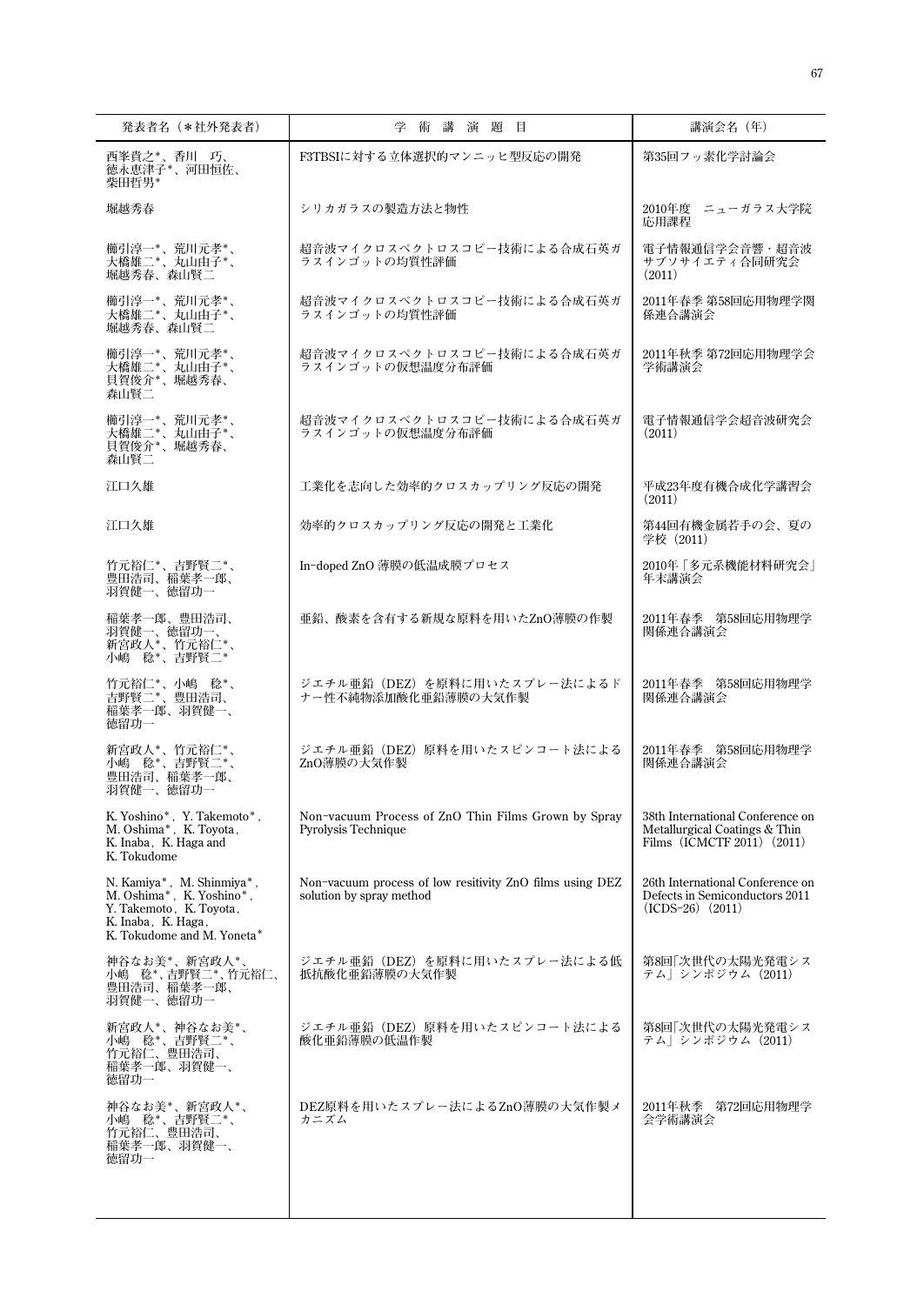| 発表者名(*社外発表者)                                                                                                                                                                            | 学術講演題目                                                                               | 講演会名(年)                                                                                         |
|-----------------------------------------------------------------------------------------------------------------------------------------------------------------------------------------|--------------------------------------------------------------------------------------|-------------------------------------------------------------------------------------------------|
| 西峯貴之*、香川 巧、<br>徳永恵津子*、河田恒佐、                                                                                                                                                             | F3TBSIに対する立体選択的マンニッヒ型反応の開発                                                           | 第35回フッ素化学討論会                                                                                    |
| 柴田哲男*<br>堀越秀春                                                                                                                                                                           | シリカガラスの製造方法と物性                                                                       | 2010年度 ニューガラス大学院<br>応用課程                                                                        |
| 櫛引淳一*、荒川元孝*、<br>大橋雄二*、丸山由子*、<br>堀越秀春、森山賢二                                                                                                                                               | 超音波マイクロスペクトロスコピー技術による合成石英ガ<br>ラスインゴットの均質性評価                                          | 電子情報通信学会音響・超音波<br>サブソサイエティ合同研究会<br>(2011)                                                       |
| 櫛引淳一*、荒川元孝*、<br>大橋雄二*、丸山由子*、<br>堀越秀春、森山賢二                                                                                                                                               | 超音波マイクロスペクトロスコピー技術による合成石英ガ<br>ラスインゴットの均質性評価                                          | 2011年春季 第58回応用物理学関<br>係連合講演会                                                                    |
| 櫛引淳一*、荒川元孝*、<br>大橋雄二*、丸山由子*、<br>貝賀俊介*、堀越秀春、<br>森山腎二                                                                                                                                     | 超音波マイクロスペクトロスコピー技術による合成石英ガ<br>ラスインゴットの仮想温度分布評価                                       | 2011年秋季 第72回応用物理学会<br>学術講演会                                                                     |
| 櫛引淳一*、荒川元孝*、<br>大橋雄二*、丸山由子*、<br>貝賀俊介*、堀越秀春、<br>森山腎二                                                                                                                                     | 超音波マイクロスペクトロスコピー技術による合成石英ガ<br>ラスインゴットの仮想温度分布評価                                       | 電子情報通信学会超音波研究会<br>(2011)                                                                        |
| 江口久雄                                                                                                                                                                                    | 工業化を志向した効率的クロスカップリング反応の開発                                                            | 平成23年度有機合成化学講習会<br>(2011)                                                                       |
| 江口久雄                                                                                                                                                                                    | 効率的クロスカップリング反応の開発と工業化                                                                | 第44回有機金属若手の会、夏の<br>学校(2011)                                                                     |
| 竹元裕仁*、吉野賢二*、<br>豊田浩司、稲葉孝一郎、<br>羽賀健一、徳留功一                                                                                                                                                | In-doped ZnO 薄膜の低温成膜プロセス                                                             | 2010年「多元系機能材料研究会」<br>年末講演会                                                                      |
| 稲葉孝一郎、豊田浩司、<br>羽賀健一、徳留功一、<br>新宫政人*、竹元裕仁*<br>小嶋 稔*、吉野賢二*                                                                                                                                 | 亜鉛、酸素を含有する新規な原料を用いたZnO薄膜の作製                                                          | 2011年春季 第58回応用物理学<br>関係連合講演会                                                                    |
| 竹元裕仁*、小嶋 稔*、<br>吉野賢二*、豊田浩司、<br>稲葉孝一郎、羽賀健一、<br>徳留功一                                                                                                                                      | ジエチル亜鉛 (DEZ) を原料に用いたスプレー法によるド<br>ナー性不純物添加酸化亜鉛薄膜の大気作製                                 | 2011年春季 第58回応用物理学<br>関係連合講演会                                                                    |
| 新宮政人*、竹元裕仁*、<br>小嶋 稔*、吉野賢二*、<br>豊田浩司、稲葉孝一郎、<br>羽賀健一、徳留功一                                                                                                                                | ジエチル亜鉛 (DEZ) 原料を用いたスピンコート法による<br>ZnO薄膜の大気作製                                          | 2011年春季 第58回応用物理学<br>関係連合講演会                                                                    |
| $\begin{array}{l} \mbox{K. Yoshino*}, \hspace{0.1cm} \mbox{Y. Takenoto*},\\ \mbox{M. Oshima*}, \hspace{0.1cm} \mbox{K. Toyota}\, , \end{array}$<br>K. Inaba, K. Haga and<br>K. Tokudome | Non-vacuum Process of ZnO Thin Films Grown by Spray<br>Pyrolysis Technique           | 38th International Conference on<br>Metallurgical Coatings & Thin<br>Films (ICMCTF 2011) (2011) |
| N. Kamiya*, M. Shinmiya*,<br>M. Oshima*, K. Yoshino*,<br>Y. Takemoto, K. Toyota,<br>K. Inaba, K. Haga,<br>K. Tokudome and M. Yoneta*                                                    | Non-vacuum process of low resitivity ZnO films using DEZ<br>solution by spray method | 26th International Conference on<br>Defects in Semiconductors 2011<br>$(ICDS-26)$ $(2011)$      |
| 神谷なお美*、新宮政人*、<br>小嶋 稔*、吉野賢二*、竹元裕仁、<br>豊田浩司、稲葉孝一郎、<br>羽賀健一、徳留功一                                                                                                                          | ジエチル亜鉛 (DEZ) を原料に用いたスプレー法による低<br>抵抗酸化亜鉛薄膜の大気作製                                       | 第8回「次世代の太陽光発電シス<br>テム  シンポジウム(2011)                                                             |
| 新宮政人*、神谷なお美*、<br>小嶋 稔* 、吉野賢二* 、<br>竹元裕仁、豊田浩司、<br>稲葉孝一郎、羽賀健一、<br>徳留功一                                                                                                                    | ジエチル亜鉛(DEZ)原料を用いたスピンコート法による<br>酸化亜鉛薄膜の低温作製                                           | 第8回 次世代の太陽光発電シス<br>テム  シンポジウム(2011)                                                             |
| 神谷なお美*、新宮政人*、<br>小嶋 稔*、吉野賢二*、<br>竹元裕仁、豊田浩司、<br>稲葉孝一郎、羽賀健一、<br>徳留功一                                                                                                                      | DEZ原料を用いたスプレー法によるZnO薄膜の大気作製メ<br>カニズム                                                 | 2011年秋季 第72回応用物理学<br>会学術講演会                                                                     |
|                                                                                                                                                                                         |                                                                                      |                                                                                                 |